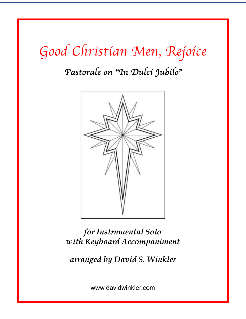# *Good Christian Men, Rejoice*

# *Pastorale on* "*In Dulci Jubilo*"



*for Instrumental Solo with Keyboard Accompaniment*

*arranged by David S. Winkler*

www.davidwinkler.com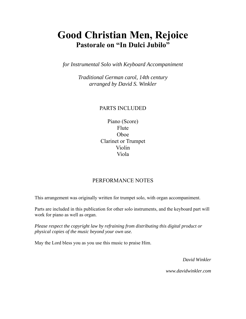### **Good Christian Men, Rejoice Pastorale on "In Dulci Jubilo"**

*for Instrumental Solo with Keyboard Accompaniment* 

*Traditional German carol, 14th century arranged by David S. Winkler* 

#### PARTS INCLUDED

Piano (Score) Flute Oboe Clarinet or Trumpet Violin Viola

#### PERFORMANCE NOTES

This arrangement was originally written for trumpet solo, with organ accompaniment.

Parts are included in this publication for other solo instruments, and the keyboard part will work for piano as well as organ.

*Please respect the copyright law by refraining from distributing this digital product or physical copies of the music beyond your own use.* 

May the Lord bless you as you use this music to praise Him.

*David Winkler* 

*www.davidwinkler.com*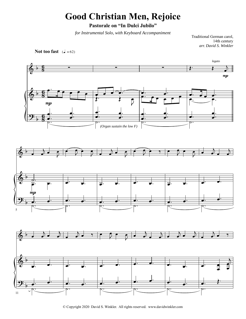## **Good Christian Men, Rejoice**

**Pastorale on "In Dulci Jubilo"**

*for Instrumental Solo, with Keyboard Accompaniment*

Traditional German carol, 14th century *arr. David S. Winkler*

**Not too fast**  $(\sqrt{a} - 62)$ 



© Copyright 2020 David S. Winkler. All rights reserved. www.davidwinkler.com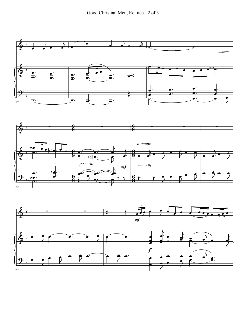

27